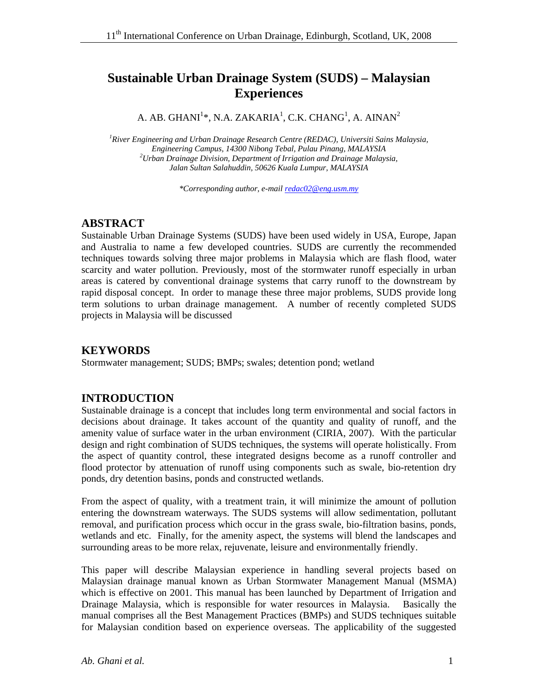# **Sustainable Urban Drainage System (SUDS) – Malaysian Experiences**

A. AB. GHANI $^{1*}$ , N.A. ZAKARIA $^{1}$ , C.K. CHANG $^{1}$ , A. AINAN $^{2}$ 

*1 River Engineering and Urban Drainage Research Centre (REDAC), Universiti Sains Malaysia, Engineering Campus, 14300 Nibong Tebal, Pulau Pinang, MALAYSIA 2 Urban Drainage Division, Department of Irrigation and Drainage Malaysia, Jalan Sultan Salahuddin, 50626 Kuala Lumpur, MALAYSIA* 

*\*Corresponding author, e-mail redac02@eng.usm.my*

## **ABSTRACT**

Sustainable Urban Drainage Systems (SUDS) have been used widely in USA, Europe, Japan and Australia to name a few developed countries. SUDS are currently the recommended techniques towards solving three major problems in Malaysia which are flash flood, water scarcity and water pollution. Previously, most of the stormwater runoff especially in urban areas is catered by conventional drainage systems that carry runoff to the downstream by rapid disposal concept. In order to manage these three major problems, SUDS provide long term solutions to urban drainage management. A number of recently completed SUDS projects in Malaysia will be discussed

## **KEYWORDS**

Stormwater management; SUDS; BMPs; swales; detention pond; wetland

## **INTRODUCTION**

Sustainable drainage is a concept that includes long term environmental and social factors in decisions about drainage. It takes account of the quantity and quality of runoff, and the amenity value of surface water in the urban environment (CIRIA, 2007). With the particular design and right combination of SUDS techniques, the systems will operate holistically. From the aspect of quantity control, these integrated designs become as a runoff controller and flood protector by attenuation of runoff using components such as swale, bio-retention dry ponds, dry detention basins, ponds and constructed wetlands.

From the aspect of quality, with a treatment train, it will minimize the amount of pollution entering the downstream waterways. The SUDS systems will allow sedimentation, pollutant removal, and purification process which occur in the grass swale, bio-filtration basins, ponds, wetlands and etc. Finally, for the amenity aspect, the systems will blend the landscapes and surrounding areas to be more relax, rejuvenate, leisure and environmentally friendly.

This paper will describe Malaysian experience in handling several projects based on Malaysian drainage manual known as Urban Stormwater Management Manual (MSMA) which is effective on 2001. This manual has been launched by Department of Irrigation and Drainage Malaysia, which is responsible for water resources in Malaysia. Basically the manual comprises all the Best Management Practices (BMPs) and SUDS techniques suitable for Malaysian condition based on experience overseas. The applicability of the suggested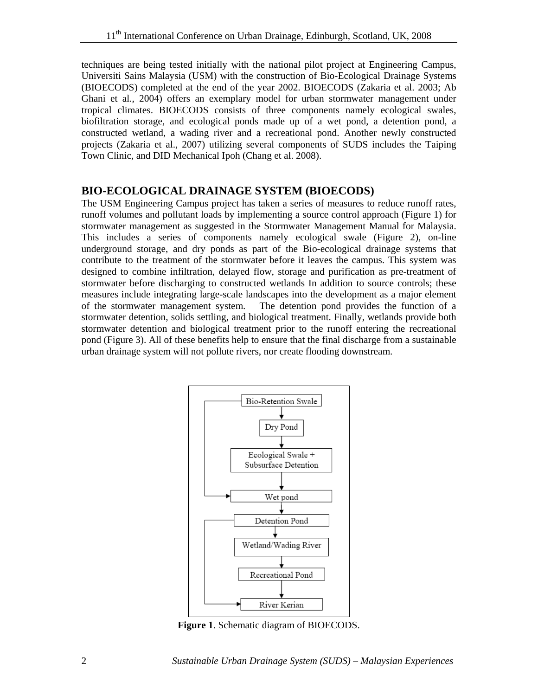techniques are being tested initially with the national pilot project at Engineering Campus, Universiti Sains Malaysia (USM) with the construction of Bio-Ecological Drainage Systems (BIOECODS) completed at the end of the year 2002. BIOECODS (Zakaria et al. 2003; Ab Ghani et al., 2004) offers an exemplary model for urban stormwater management under tropical climates. BIOECODS consists of three components namely ecological swales, biofiltration storage, and ecological ponds made up of a wet pond, a detention pond, a constructed wetland, a wading river and a recreational pond. Another newly constructed projects (Zakaria et al., 2007) utilizing several components of SUDS includes the Taiping Town Clinic, and DID Mechanical Ipoh (Chang et al. 2008).

## **BIO-ECOLOGICAL DRAINAGE SYSTEM (BIOECODS)**

The USM Engineering Campus project has taken a series of measures to reduce runoff rates, runoff volumes and pollutant loads by implementing a source control approach (Figure 1) for stormwater management as suggested in the Stormwater Management Manual for Malaysia. This includes a series of components namely ecological swale (Figure 2), on-line underground storage, and dry ponds as part of the Bio-ecological drainage systems that contribute to the treatment of the stormwater before it leaves the campus. This system was designed to combine infiltration, delayed flow, storage and purification as pre-treatment of stormwater before discharging to constructed wetlands In addition to source controls; these measures include integrating large-scale landscapes into the development as a major element of the stormwater management system. The detention pond provides the function of a stormwater detention, solids settling, and biological treatment. Finally, wetlands provide both stormwater detention and biological treatment prior to the runoff entering the recreational pond (Figure 3). All of these benefits help to ensure that the final discharge from a sustainable urban drainage system will not pollute rivers, nor create flooding downstream.



**Figure 1**. Schematic diagram of BIOECODS.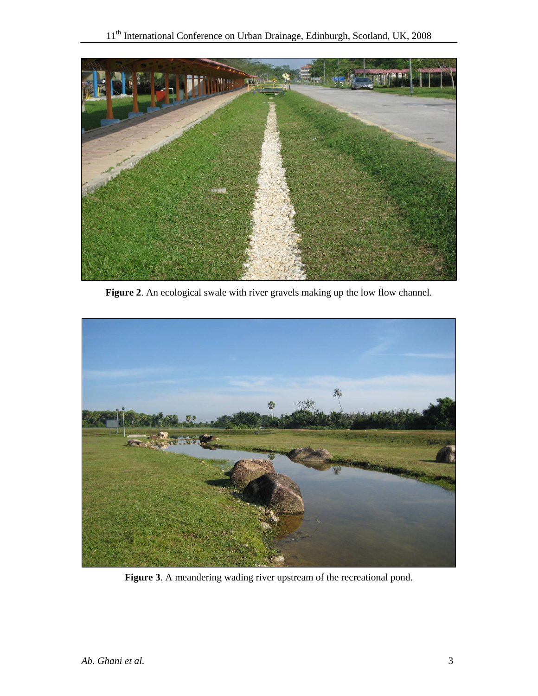

Figure 2. An ecological swale with river gravels making up the low flow channel.



**Figure 3**. A meandering wading river upstream of the recreational pond.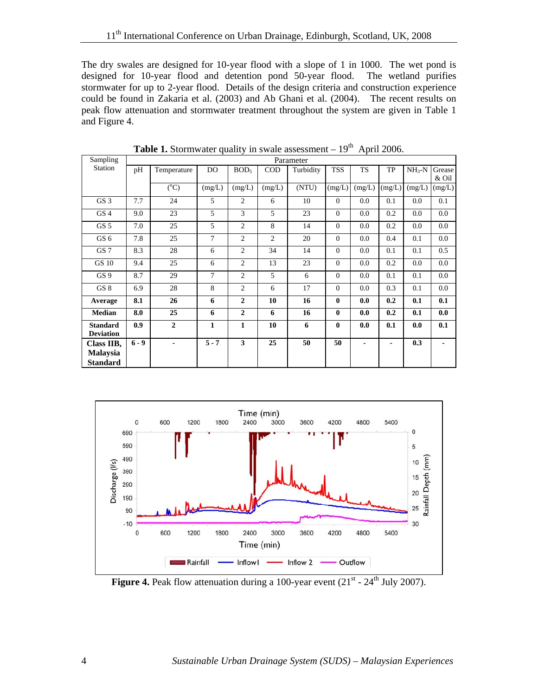The dry swales are designed for 10-year flood with a slope of 1 in 1000. The wet pond is designed for 10-year flood and detention pond 50-year flood. The wetland purifies stormwater for up to 2-year flood. Details of the design criteria and construction experience could be found in Zakaria et al. (2003) and Ab Ghani et al. (2004). The recent results on peak flow attenuation and stormwater treatment throughout the system are given in Table 1 and Figure 4.

| Sampling         | Parameter |                 |         |                  |                |           |              |           |        |            |         |  |
|------------------|-----------|-----------------|---------|------------------|----------------|-----------|--------------|-----------|--------|------------|---------|--|
| <b>Station</b>   | pH        | Temperature     | DO      | BOD <sub>5</sub> | <b>COD</b>     | Turbidity | <b>TSS</b>   | <b>TS</b> | TP     | $NH_{3}-N$ | Grease  |  |
|                  |           |                 |         |                  |                |           |              |           |        |            | & Oil   |  |
|                  |           | $({}^{\circ}C)$ | (mg/L)  | (mg/L)           | (mg/L)         | (NTU)     | (mg/L)       | (mg/L)    | (mg/L) | (mg/L)     | (mg/L)  |  |
| GS <sub>3</sub>  | 7.7       | 24              | 5       | $\overline{2}$   | 6              | 10        | $\Omega$     | 0.0       | 0.1    | 0.0        | 0.1     |  |
| GS <sub>4</sub>  | 9.0       | 23              | 5       | 3                | 5              | 23        | $\Omega$     | 0.0       | 0.2    | 0.0        | 0.0     |  |
| GS <sub>5</sub>  | 7.0       | 25              | 5       | $\overline{2}$   | 8              | 14        | $\Omega$     | 0.0       | 0.2    | 0.0        | 0.0     |  |
| GS <sub>6</sub>  | 7.8       | 25              | 7       | $\overline{2}$   | $\overline{c}$ | 20        | $\Omega$     | 0.0       | 0.4    | 0.1        | $0.0\,$ |  |
| GS <sub>7</sub>  | 8.3       | 28              | 6       | $\overline{c}$   | 34             | 14        | $\Omega$     | 0.0       | 0.1    | 0.1        | 0.5     |  |
| <b>GS 10</b>     | 9.4       | 25              | 6       | $\overline{2}$   | 13             | 23        | $\Omega$     | 0.0       | 0.2    | 0.0        | $0.0\,$ |  |
| GS <sub>9</sub>  | 8.7       | 29              | $\tau$  | $\overline{2}$   | 5              | 6         | $\Omega$     | 0.0       | 0.1    | 0.1        | 0.0     |  |
| GS 8             | 6.9       | 28              | 8       | $\overline{2}$   | 6              | 17        | $\Omega$     | 0.0       | 0.3    | 0.1        | 0.0     |  |
| Average          | 8.1       | 26              | 6       | $\overline{2}$   | 10             | 16        | $\mathbf{0}$ | 0.0       | 0.2    | 0.1        | 0.1     |  |
| <b>Median</b>    | 8.0       | 25              | 6       | $\overline{2}$   | 6              | 16        | $\bf{0}$     | 0.0       | 0.2    | 0.1        | 0.0     |  |
| <b>Standard</b>  | 0.9       | $\overline{2}$  | 1       | $\mathbf{1}$     | 10             | 6         | $\bf{0}$     | 0.0       | 0.1    | 0.0        | 0.1     |  |
| <b>Deviation</b> |           |                 |         |                  |                |           |              |           |        |            |         |  |
| Class IIB,       | $6 - 9$   |                 | $5 - 7$ | 3                | 25             | 50        | 50           |           |        | 0.3        |         |  |
| <b>Malaysia</b>  |           |                 |         |                  |                |           |              |           |        |            |         |  |
| <b>Standard</b>  |           |                 |         |                  |                |           |              |           |        |            |         |  |

**Table 1.** Stormwater quality in swale assessment  $-19<sup>th</sup>$  April 2006.



**Figure 4.** Peak flow attenuation during a 100-year event  $(21<sup>st</sup> - 24<sup>th</sup>$  July 2007).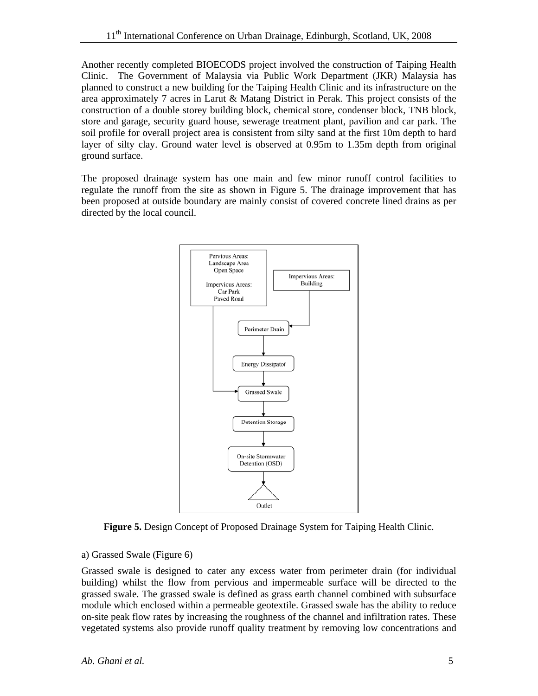Another recently completed BIOECODS project involved the construction of Taiping Health Clinic. The Government of Malaysia via Public Work Department (JKR) Malaysia has planned to construct a new building for the Taiping Health Clinic and its infrastructure on the area approximately 7 acres in Larut & Matang District in Perak. This project consists of the construction of a double storey building block, chemical store, condenser block, TNB block, store and garage, security guard house, sewerage treatment plant, pavilion and car park. The soil profile for overall project area is consistent from silty sand at the first 10m depth to hard layer of silty clay. Ground water level is observed at 0.95m to 1.35m depth from original ground surface.

The proposed drainage system has one main and few minor runoff control facilities to regulate the runoff from the site as shown in Figure 5. The drainage improvement that has been proposed at outside boundary are mainly consist of covered concrete lined drains as per directed by the local council.



**Figure 5.** Design Concept of Proposed Drainage System for Taiping Health Clinic.

#### a) Grassed Swale (Figure 6)

Grassed swale is designed to cater any excess water from perimeter drain (for individual building) whilst the flow from pervious and impermeable surface will be directed to the grassed swale. The grassed swale is defined as grass earth channel combined with subsurface module which enclosed within a permeable geotextile. Grassed swale has the ability to reduce on-site peak flow rates by increasing the roughness of the channel and infiltration rates. These vegetated systems also provide runoff quality treatment by removing low concentrations and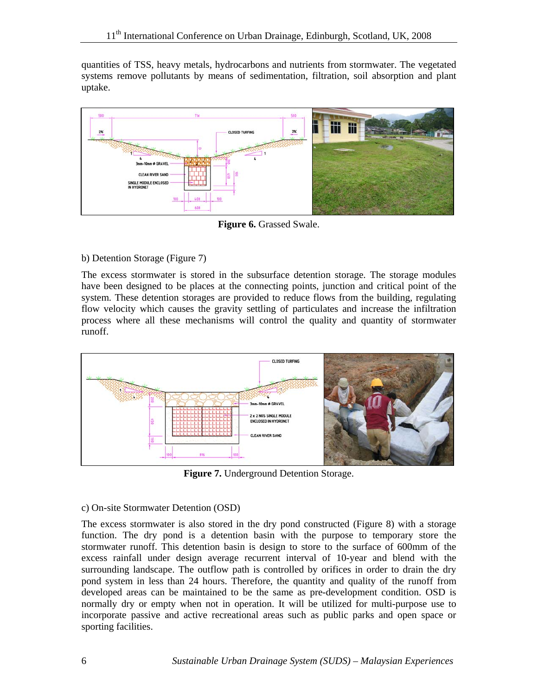quantities of TSS, heavy metals, hydrocarbons and nutrients from stormwater. The vegetated systems remove pollutants by means of sedimentation, filtration, soil absorption and plant uptake.



**Figure 6.** Grassed Swale.

#### b) Detention Storage (Figure 7)

The excess stormwater is stored in the subsurface detention storage. The storage modules have been designed to be places at the connecting points, junction and critical point of the system. These detention storages are provided to reduce flows from the building, regulating flow velocity which causes the gravity settling of particulates and increase the infiltration process where all these mechanisms will control the quality and quantity of stormwater runoff.



**Figure 7.** Underground Detention Storage.

#### c) On-site Stormwater Detention (OSD)

The excess stormwater is also stored in the dry pond constructed (Figure 8) with a storage function. The dry pond is a detention basin with the purpose to temporary store the stormwater runoff. This detention basin is design to store to the surface of 600mm of the excess rainfall under design average recurrent interval of 10-year and blend with the surrounding landscape. The outflow path is controlled by orifices in order to drain the dry pond system in less than 24 hours. Therefore, the quantity and quality of the runoff from developed areas can be maintained to be the same as pre-development condition. OSD is normally dry or empty when not in operation. It will be utilized for multi-purpose use to incorporate passive and active recreational areas such as public parks and open space or sporting facilities.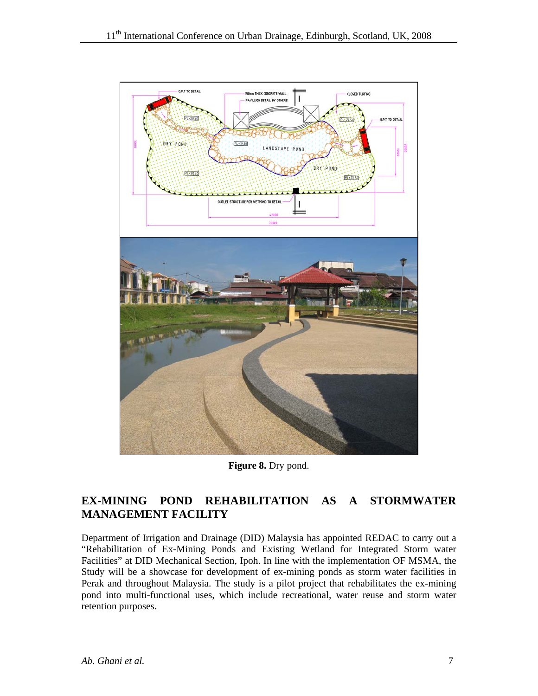

**Figure 8.** Dry pond.

# **EX-MINING POND REHABILITATION AS A STORMWATER MANAGEMENT FACILITY**

Department of Irrigation and Drainage (DID) Malaysia has appointed REDAC to carry out a "Rehabilitation of Ex-Mining Ponds and Existing Wetland for Integrated Storm water Facilities" at DID Mechanical Section, Ipoh. In line with the implementation OF MSMA, the Study will be a showcase for development of ex-mining ponds as storm water facilities in Perak and throughout Malaysia. The study is a pilot project that rehabilitates the ex-mining pond into multi-functional uses, which include recreational, water reuse and storm water retention purposes.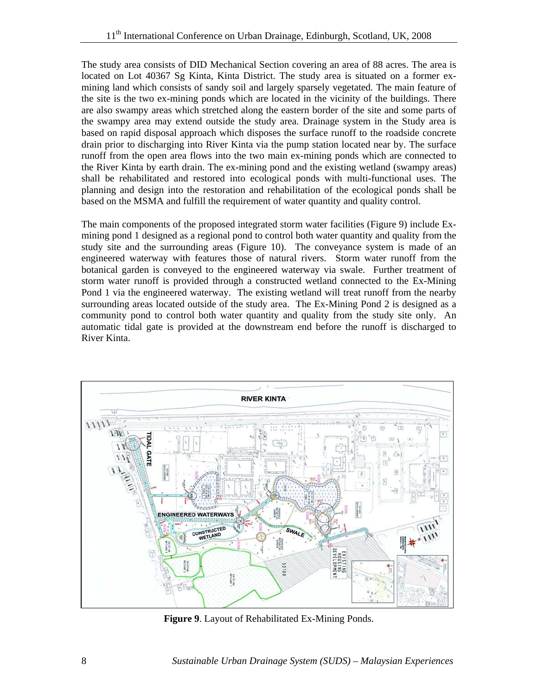The study area consists of DID Mechanical Section covering an area of 88 acres. The area is located on Lot 40367 Sg Kinta, Kinta District. The study area is situated on a former exmining land which consists of sandy soil and largely sparsely vegetated. The main feature of the site is the two ex-mining ponds which are located in the vicinity of the buildings. There are also swampy areas which stretched along the eastern border of the site and some parts of the swampy area may extend outside the study area. Drainage system in the Study area is based on rapid disposal approach which disposes the surface runoff to the roadside concrete drain prior to discharging into River Kinta via the pump station located near by. The surface runoff from the open area flows into the two main ex-mining ponds which are connected to the River Kinta by earth drain. The ex-mining pond and the existing wetland (swampy areas) shall be rehabilitated and restored into ecological ponds with multi-functional uses. The planning and design into the restoration and rehabilitation of the ecological ponds shall be based on the MSMA and fulfill the requirement of water quantity and quality control.

The main components of the proposed integrated storm water facilities (Figure 9) include Exmining pond 1 designed as a regional pond to control both water quantity and quality from the study site and the surrounding areas (Figure 10). The conveyance system is made of an engineered waterway with features those of natural rivers. Storm water runoff from the botanical garden is conveyed to the engineered waterway via swale. Further treatment of storm water runoff is provided through a constructed wetland connected to the Ex-Mining Pond 1 via the engineered waterway. The existing wetland will treat runoff from the nearby surrounding areas located outside of the study area. The Ex-Mining Pond 2 is designed as a community pond to control both water quantity and quality from the study site only. An automatic tidal gate is provided at the downstream end before the runoff is discharged to River Kinta.



**Figure 9**. Layout of Rehabilitated Ex-Mining Ponds.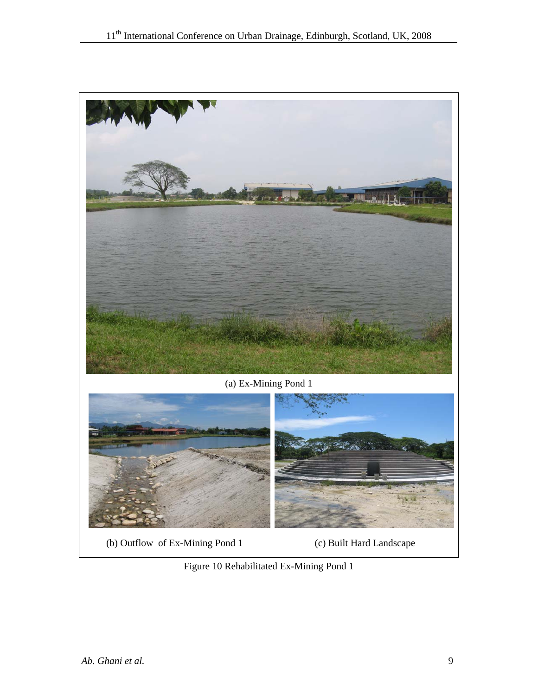



(b) Outflow of Ex-Mining Pond 1 (c) Built Hard Landscape

Figure 10 Rehabilitated Ex-Mining Pond 1